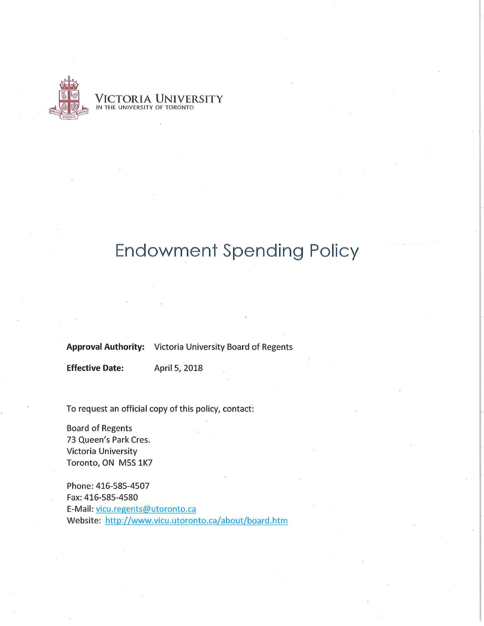

VICTORIA UNIVERSITY IN THE UNIVERSITY OF TORONTO

# **Endowment Spending Policy**

**Approval Authority:** Victoria University Board of Regents

**Effective Date:** April 5, 2018

To request an official copy of this policy, contact:

Board of Regents 73 Queen's Park Cres. Victoria University Toronto, ON MSS 1K7

Phone:416-585-4507 Fax: 416-585-4580 E-Mail: vicu.regents@utoronto.ca Website: http://www.vicu.utoronto.ca/about/board.htm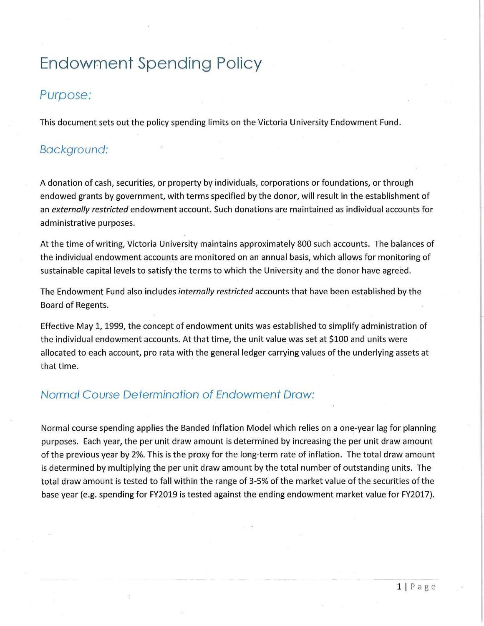# **Endowment Spending Policy**

# Purpose:

This document sets out the policy spending limits on the Victoria University Endowment Fund.

## Background:

A donation of cash, securities, or property by individuals, corporations or foundations, or through endowed grants by government, with terms specified by the donor, will result in the establishment of an *externally restricted* endowment account. Such donations are maintained as individual accounts for administrative purposes.

At the time of writing, Victoria University maintains approximately 800 such accounts. The balances of the individual endowment accounts are monitored on an annual basis, which allows for monitoring of sustainable capital levels to satisfy the terms to which the University and the donor have agreed.

The Endowment Fund also includes *internally restricted* accounts that have been established by the Board of Regents.

Effective May 1, 1999, the concept of endowment units was established to simplify administration of the individual endowment accounts. At that time, the unit value was set at \$100 and units were allocated to each account, pro rata with the general ledger carrying values of the underlying assets at that time.

## Normal Course Determination of Endowment Draw:

Normal course spending applies the Banded Inflation Model which relies on a one-year lag for planning purposes. Each year, the per unit draw amount is determined by increasing the per unit draw amount of the previous year by 2%. This is the proxy for the long-term rate of inflation. The total draw amount is determined by multiplying the per unit draw amount by the total number of outstanding units. The total draw amount is tested to fall within the range of 3-5% of the market value of the securities of the base year (e.g. spending for FY2019 is tested against the ending endowment market value for FY2017).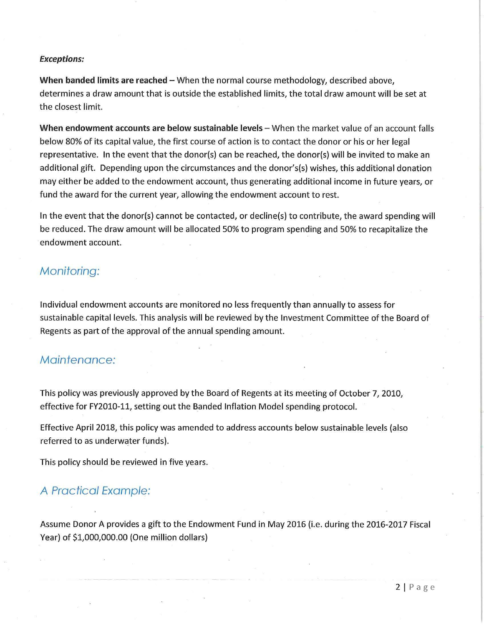### **Exceptions:**

**When banded limits are reached – When the normal course methodology, described above,** determines a draw amount that is outside the established limits, the total draw amount will be set at the closest limit.

**When endowment accounts are below sustainable levels – When the market value of an account falls** below 80% of its capital value, the first course of action is to contact the donor or his or her legal representative. In the event that the donor(s) can be reached, the donor(s) will be invited to make an additional gift. Depending upon the circumstances and the donor's(s) wishes, this additional donation may either be added to the endowment account, thus generating additional income in future years, or fund the award for the current year, allowing the endowment account to rest.

In the event that the donor(s) cannot be contacted, or decline(s) to contribute, the award spending will be reduced. The draw amount will be allocated 50% to program spending and 50% to recapitalize the endowment account.

# Monitoring:

Individual endowment accounts are monitored no less frequently than annually to assess for sustainable capital levels. This analysis will be reviewed by the Investment Committee of the Board of Regents as part of the approval of the annual spending amount.

## Maintenance:

This policy was previously approved by the Board of Regents at its meeting of October 7, 2010, effective for FV2010-11, setting out the Banded Inflation Model spending protocol.

Effective April 2018, this policy was amended to address accounts below sustainable levels (also referred to as underwater funds).

This policy should be reviewed in five years.

## A Practical Example:

Assume Donor A provides a gift to the Endowment Fund in May 2016 (i.e. during the 2016-2017 Fiscal Vear) of \$1,000,000.00 (One million dollars)